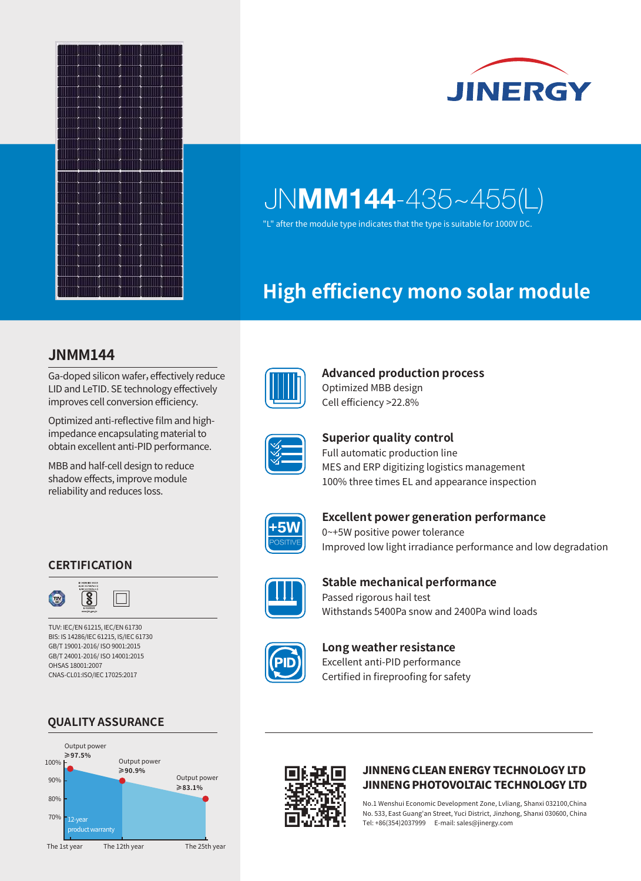



"L" after the module type indicates that the type is suitable for 1000V DC.

## **High efficiency mono solar module**

### **JNMM144**

Ga-doped silicon wafer, effectively reduce LID and LeTID. SE technology effectively improves cell conversion efficiency.

Optimized anti-reflective film and highimpedance encapsulating material to obtain excellent anti-PID performance.

MBB and half-cell design to reduce shadow effects, improve module reliability and reduces loss.



#### **Advanced production process**  Optimized MBB design Cell efficiency >22.8%



# **Superior quality control**

Full automatic production line MES and ERP digitizing logistics management 100% three times EL and appearance inspection



#### **Excellent power generation performance** 0~+5W positive power tolerance

Improved low light irradiance performance and low degradation



#### **Stable mechanical performance** Passed rigorous hail test Withstands 5400Pa snow and 2400Pa wind loads



#### **Long weather resistance** Excellent anti-PID performance Certified in fireproofing for safety



**CERTIFICATION**

 $\overline{\mathcal{S}}$ 

TUV: IEC/EN 61215, IEC/EN 61730 BIS: IS 14286/IEC 61215, IS/IEC 61730 GB/T 19001-2016/ ISO 9001:2015 GB/T 24001-2016/ ISO 14001:2015

OHSAS 18001:2007 CNAS-CL01:ISO/IEC 17025:2017

 $TUV$ 



JINNENG CLEAN ENERGY TECHNOLOGY LTD JINNENG PHOTOVOLTAIC TECHNOLOGY LTD

No.1 Wenshui Economic Development Zone, Lvliang, Shanxi 032100,China No. 533, East Guang'an Street, Yuci District, Jinzhong, Shanxi 030600, China Tel: +86(354)2037999 E-mail: sales@jinergy.com